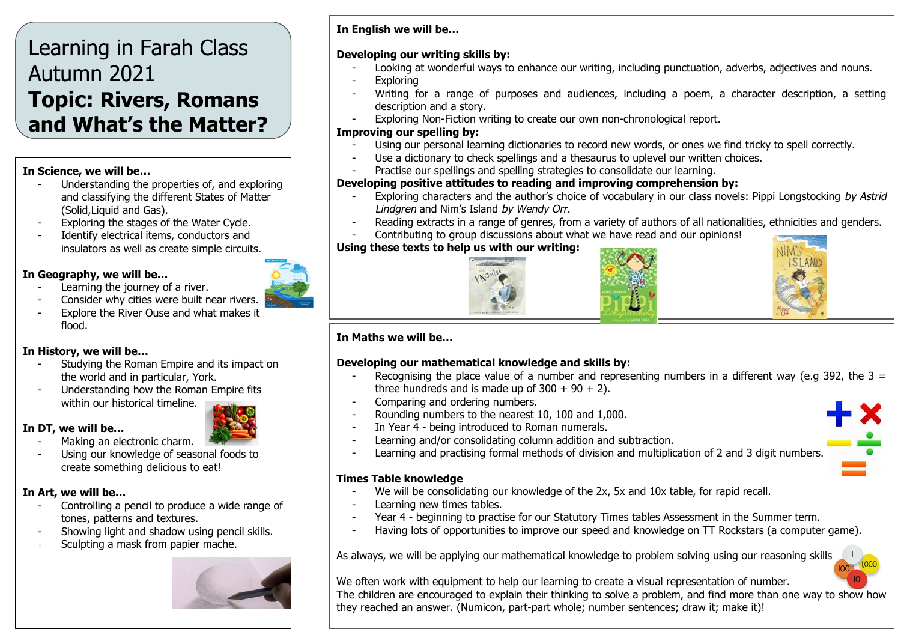# Learning in Farah Class Autumn 2021 **Topic: Rivers, Romans and What's the Matter?**

#### **In Science, we will be…**

- Understanding the properties of, and exploring and classifying the different States of Matter (Solid,Liquid and Gas).
- Exploring the stages of the Water Cycle.
- Identify electrical items, conductors and insulators as well as create simple circuits.

# **In Geography, we will be…**

- Learning the journey of a river.
- Consider why cities were built near rivers.
- Explore the River Ouse and what makes it flood.

# **In History, we will be…**

- Studying the Roman Empire and its impact on the world and in particular, York.
- Understanding how the Roman Empire fits within our historical timeline.

#### **In DT, we will be…**



Making an electronic charm. Using our knowledge of seasonal foods to create something delicious to eat!

#### **In Art, we will be…**

- Controlling a pencil to produce a wide range of tones, patterns and textures.
- Showing light and shadow using pencil skills.
- Sculpting a mask from papier mache.



# **In English we will be…**

#### **Developing our writing skills by:**

- Looking at wonderful ways to enhance our writing, including punctuation, adverbs, adjectives and nouns.
- **Exploring**
- Writing for a range of purposes and audiences, including a poem, a character description, a setting description and a story.
- Exploring Non-Fiction writing to create our own non-chronological report.

#### **Improving our spelling by:**

- Using our personal learning dictionaries to record new words, or ones we find tricky to spell correctly.
- Use a dictionary to check spellings and a thesaurus to uplevel our written choices.
- Practise our spellings and spelling strategies to consolidate our learning.

# **Developing positive attitudes to reading and improving comprehension by:**

- Exploring characters and the author's choice of vocabulary in our class novels: Pippi Longstocking by Astrid Lindgren and Nim's Island by Wendy Orr.
- Reading extracts in a range of genres, from a variety of authors of all nationalities, ethnicities and genders.
- Contributing to group discussions about what we have read and our opinions!

# **Using these texts to help us with our writing:**





#### **In Maths we will be…**

# **Developing our mathematical knowledge and skills by:**

- Recognising the place value of a number and representing numbers in a different way (e.g 392, the 3  $=$ three hundreds and is made up of  $300 + 90 + 2$ ).
- Comparing and ordering numbers.
- Rounding numbers to the nearest 10, 100 and 1,000.
- In Year 4 being introduced to Roman numerals.
- Learning and/or consolidating column addition and subtraction.
- Learning and practising formal methods of division and multiplication of 2 and 3 digit numbers.

#### **Times Table knowledge**

- We will be consolidating our knowledge of the 2x, 5x and 10x table, for rapid recall.
- Learning new times tables.
- Year 4 beginning to practise for our Statutory Times tables Assessment in the Summer term.
- Having lots of opportunities to improve our speed and knowledge on TT Rockstars (a computer game).

As always, we will be applying our mathematical knowledge to problem solving using our reasoning skills.

We often work with equipment to help our learning to create a visual representation of number. The children are encouraged to explain their thinking to solve a problem, and find more than one way to show how they reached an answer. (Numicon, part-part whole; number sentences; draw it; make it)!